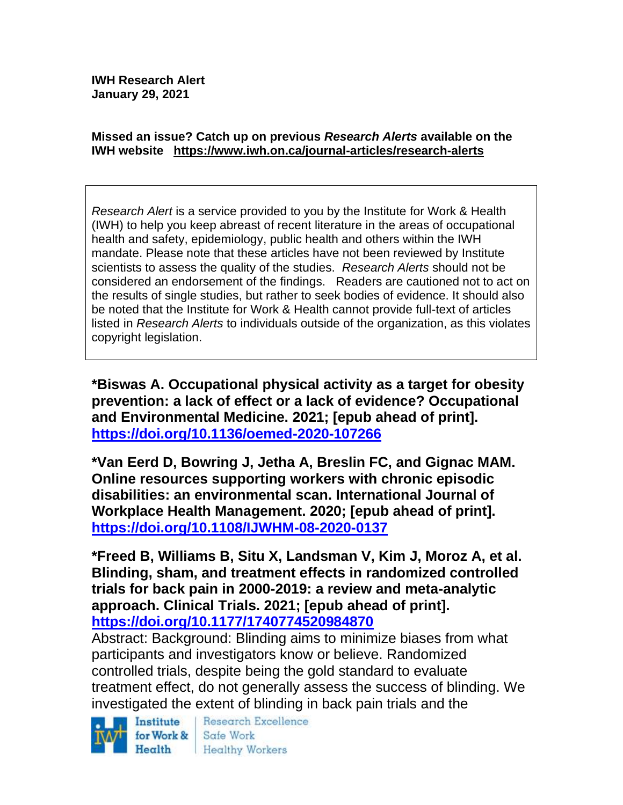**IWH Research Alert January 29, 2021**

#### **Missed an issue? Catch up on previous** *Research Alerts* **available on the [IWH website](http://www.iwh.on.ca/research-alerts) <https://www.iwh.on.ca/journal-articles/research-alerts>**

*Research Alert* is a service provided to you by the Institute for Work & Health (IWH) to help you keep abreast of recent literature in the areas of occupational health and safety, epidemiology, public health and others within the IWH mandate. Please note that these articles have not been reviewed by Institute scientists to assess the quality of the studies. *Research Alerts* should not be considered an endorsement of the findings. Readers are cautioned not to act on the results of single studies, but rather to seek bodies of evidence. It should also be noted that the Institute for Work & Health cannot provide full-text of articles listed in *Research Alerts* to individuals outside of the organization, as this violates copyright legislation.

**\*Biswas A. Occupational physical activity as a target for obesity prevention: a lack of effect or a lack of evidence? Occupational and Environmental Medicine. 2021; [epub ahead of print]. <https://doi.org/10.1136/oemed-2020-107266>** 

**\*Van Eerd D, Bowring J, Jetha A, Breslin FC, and Gignac MAM. Online resources supporting workers with chronic episodic disabilities: an environmental scan. International Journal of Workplace Health Management. 2020; [epub ahead of print]. <https://doi.org/10.1108/IJWHM-08-2020-0137>** 

**\*Freed B, Williams B, Situ X, Landsman V, Kim J, Moroz A, et al. Blinding, sham, and treatment effects in randomized controlled trials for back pain in 2000-2019: a review and meta-analytic approach. Clinical Trials. 2021; [epub ahead of print]. <https://doi.org/10.1177/1740774520984870>** 

Abstract: Background: Blinding aims to minimize biases from what participants and investigators know or believe. Randomized controlled trials, despite being the gold standard to evaluate treatment effect, do not generally assess the success of blinding. We investigated the extent of blinding in back pain trials and the

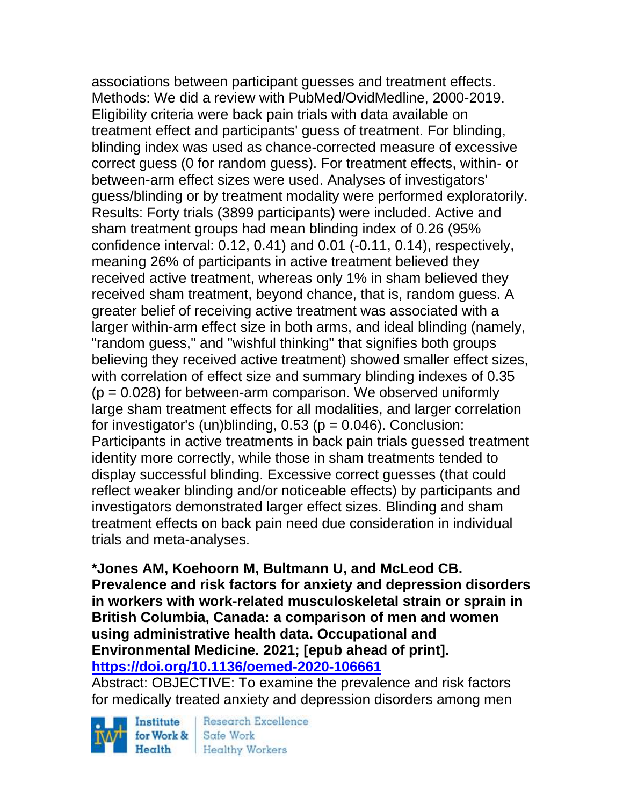associations between participant guesses and treatment effects. Methods: We did a review with PubMed/OvidMedline, 2000-2019. Eligibility criteria were back pain trials with data available on treatment effect and participants' guess of treatment. For blinding, blinding index was used as chance-corrected measure of excessive correct guess (0 for random guess). For treatment effects, within- or between-arm effect sizes were used. Analyses of investigators' guess/blinding or by treatment modality were performed exploratorily. Results: Forty trials (3899 participants) were included. Active and sham treatment groups had mean blinding index of 0.26 (95% confidence interval: 0.12, 0.41) and 0.01 (-0.11, 0.14), respectively, meaning 26% of participants in active treatment believed they received active treatment, whereas only 1% in sham believed they received sham treatment, beyond chance, that is, random guess. A greater belief of receiving active treatment was associated with a larger within-arm effect size in both arms, and ideal blinding (namely, "random guess," and "wishful thinking" that signifies both groups believing they received active treatment) showed smaller effect sizes, with correlation of effect size and summary blinding indexes of 0.35  $(p = 0.028)$  for between-arm comparison. We observed uniformly large sham treatment effects for all modalities, and larger correlation for investigator's (un)blinding,  $0.53$  ( $p = 0.046$ ). Conclusion: Participants in active treatments in back pain trials guessed treatment identity more correctly, while those in sham treatments tended to display successful blinding. Excessive correct guesses (that could reflect weaker blinding and/or noticeable effects) by participants and investigators demonstrated larger effect sizes. Blinding and sham treatment effects on back pain need due consideration in individual trials and meta-analyses.

**\*Jones AM, Koehoorn M, Bultmann U, and McLeod CB. Prevalence and risk factors for anxiety and depression disorders in workers with work-related musculoskeletal strain or sprain in British Columbia, Canada: a comparison of men and women using administrative health data. Occupational and Environmental Medicine. 2021; [epub ahead of print]. <https://doi.org/10.1136/oemed-2020-106661>** 

Abstract: OBJECTIVE: To examine the prevalence and risk factors for medically treated anxiety and depression disorders among men

Institute for Work &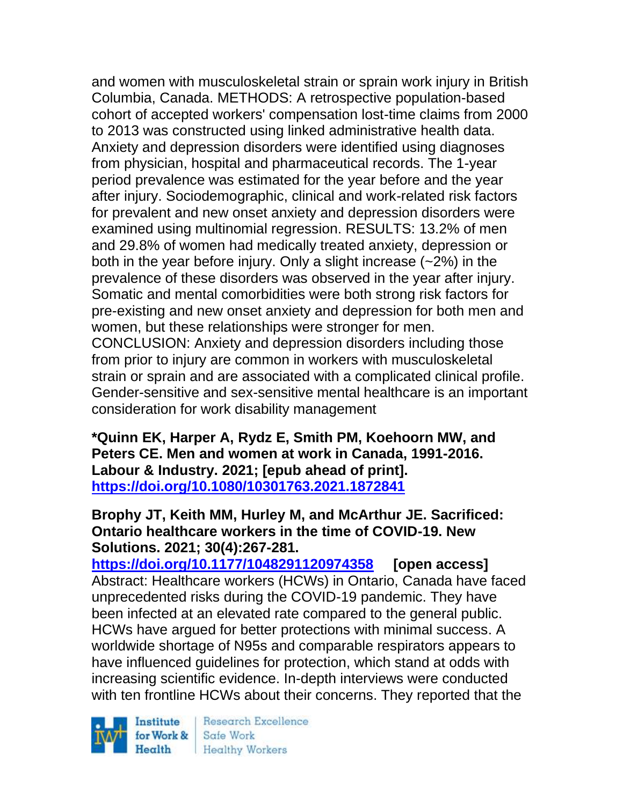and women with musculoskeletal strain or sprain work injury in British Columbia, Canada. METHODS: A retrospective population-based cohort of accepted workers' compensation lost-time claims from 2000 to 2013 was constructed using linked administrative health data. Anxiety and depression disorders were identified using diagnoses from physician, hospital and pharmaceutical records. The 1-year period prevalence was estimated for the year before and the year after injury. Sociodemographic, clinical and work-related risk factors for prevalent and new onset anxiety and depression disorders were examined using multinomial regression. RESULTS: 13.2% of men and 29.8% of women had medically treated anxiety, depression or both in the year before injury. Only a slight increase (~2%) in the prevalence of these disorders was observed in the year after injury. Somatic and mental comorbidities were both strong risk factors for pre-existing and new onset anxiety and depression for both men and women, but these relationships were stronger for men. CONCLUSION: Anxiety and depression disorders including those from prior to injury are common in workers with musculoskeletal strain or sprain and are associated with a complicated clinical profile. Gender-sensitive and sex-sensitive mental healthcare is an important

consideration for work disability management

**\*Quinn EK, Harper A, Rydz E, Smith PM, Koehoorn MW, and Peters CE. Men and women at work in Canada, 1991-2016. Labour & Industry. 2021; [epub ahead of print]. <https://doi.org/10.1080/10301763.2021.1872841>** 

# **Brophy JT, Keith MM, Hurley M, and McArthur JE. Sacrificed: Ontario healthcare workers in the time of COVID-19. New Solutions. 2021; 30(4):267-281.**

**<https://doi.org/10.1177/1048291120974358> [open access]** Abstract: Healthcare workers (HCWs) in Ontario, Canada have faced unprecedented risks during the COVID-19 pandemic. They have been infected at an elevated rate compared to the general public. HCWs have argued for better protections with minimal success. A worldwide shortage of N95s and comparable respirators appears to have influenced guidelines for protection, which stand at odds with increasing scientific evidence. In-depth interviews were conducted with ten frontline HCWs about their concerns. They reported that the

Institute Health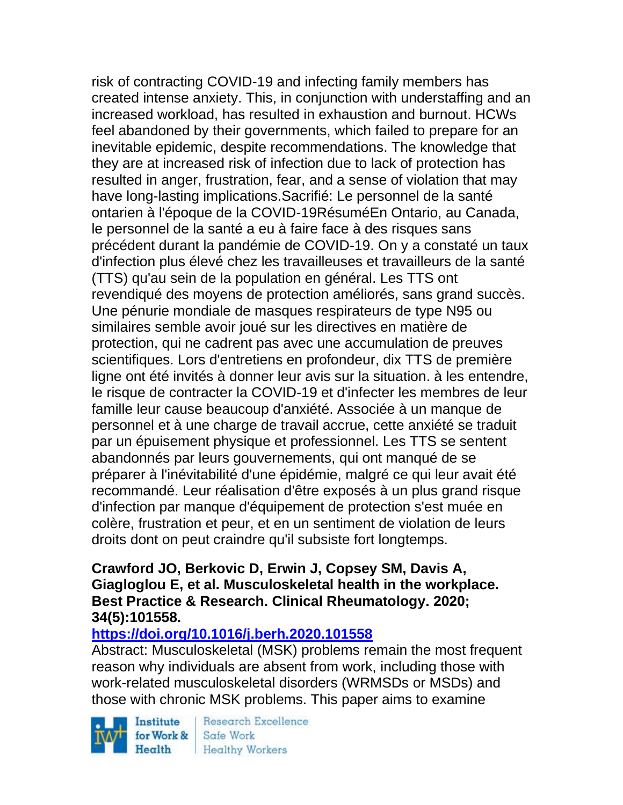risk of contracting COVID-19 and infecting family members has created intense anxiety. This, in conjunction with understaffing and an increased workload, has resulted in exhaustion and burnout. HCWs feel abandoned by their governments, which failed to prepare for an inevitable epidemic, despite recommendations. The knowledge that they are at increased risk of infection due to lack of protection has resulted in anger, frustration, fear, and a sense of violation that may have long-lasting implications.Sacrifié: Le personnel de la santé ontarien à l'époque de la COVID-19RésuméEn Ontario, au Canada, le personnel de la santé a eu à faire face à des risques sans précédent durant la pandémie de COVID-19. On y a constaté un taux d'infection plus élevé chez les travailleuses et travailleurs de la santé (TTS) qu'au sein de la population en général. Les TTS ont revendiqué des moyens de protection améliorés, sans grand succès. Une pénurie mondiale de masques respirateurs de type N95 ou similaires semble avoir joué sur les directives en matière de protection, qui ne cadrent pas avec une accumulation de preuves scientifiques. Lors d'entretiens en profondeur, dix TTS de première ligne ont été invités à donner leur avis sur la situation. à les entendre, le risque de contracter la COVID-19 et d'infecter les membres de leur famille leur cause beaucoup d'anxiété. Associée à un manque de personnel et à une charge de travail accrue, cette anxiété se traduit par un épuisement physique et professionnel. Les TTS se sentent abandonnés par leurs gouvernements, qui ont manqué de se préparer à l'inévitabilité d'une épidémie, malgré ce qui leur avait été recommandé. Leur réalisation d'être exposés à un plus grand risque d'infection par manque d'équipement de protection s'est muée en colère, frustration et peur, et en un sentiment de violation de leurs droits dont on peut craindre qu'il subsiste fort longtemps.

## **Crawford JO, Berkovic D, Erwin J, Copsey SM, Davis A, Giagloglou E, et al. Musculoskeletal health in the workplace. Best Practice & Research. Clinical Rheumatology. 2020; 34(5):101558.**

# **<https://doi.org/10.1016/j.berh.2020.101558>**

Abstract: Musculoskeletal (MSK) problems remain the most frequent reason why individuals are absent from work, including those with work-related musculoskeletal disorders (WRMSDs or MSDs) and those with chronic MSK problems. This paper aims to examine

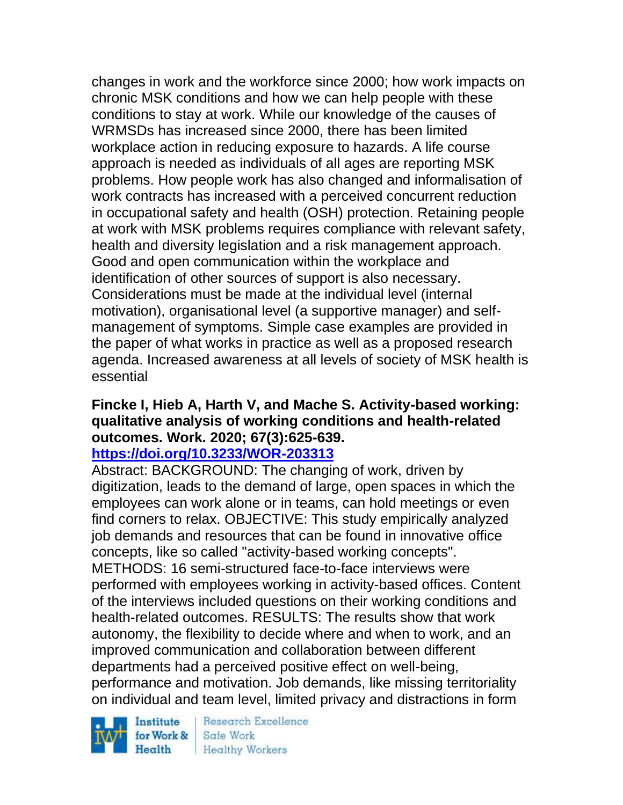changes in work and the workforce since 2000; how work impacts on chronic MSK conditions and how we can help people with these conditions to stay at work. While our knowledge of the causes of WRMSDs has increased since 2000, there has been limited workplace action in reducing exposure to hazards. A life course approach is needed as individuals of all ages are reporting MSK problems. How people work has also changed and informalisation of work contracts has increased with a perceived concurrent reduction in occupational safety and health (OSH) protection. Retaining people at work with MSK problems requires compliance with relevant safety, health and diversity legislation and a risk management approach. Good and open communication within the workplace and identification of other sources of support is also necessary. Considerations must be made at the individual level (internal motivation), organisational level (a supportive manager) and selfmanagement of symptoms. Simple case examples are provided in the paper of what works in practice as well as a proposed research agenda. Increased awareness at all levels of society of MSK health is essential

# **Fincke I, Hieb A, Harth V, and Mache S. Activity-based working: qualitative analysis of working conditions and health-related outcomes. Work. 2020; 67(3):625-639.**

# **<https://doi.org/10.3233/WOR-203313>**

Abstract: BACKGROUND: The changing of work, driven by digitization, leads to the demand of large, open spaces in which the employees can work alone or in teams, can hold meetings or even find corners to relax. OBJECTIVE: This study empirically analyzed job demands and resources that can be found in innovative office concepts, like so called "activity-based working concepts". METHODS: 16 semi-structured face-to-face interviews were performed with employees working in activity-based offices. Content of the interviews included questions on their working conditions and health-related outcomes. RESULTS: The results show that work autonomy, the flexibility to decide where and when to work, and an improved communication and collaboration between different departments had a perceived positive effect on well-being, performance and motivation. Job demands, like missing territoriality on individual and team level, limited privacy and distractions in form

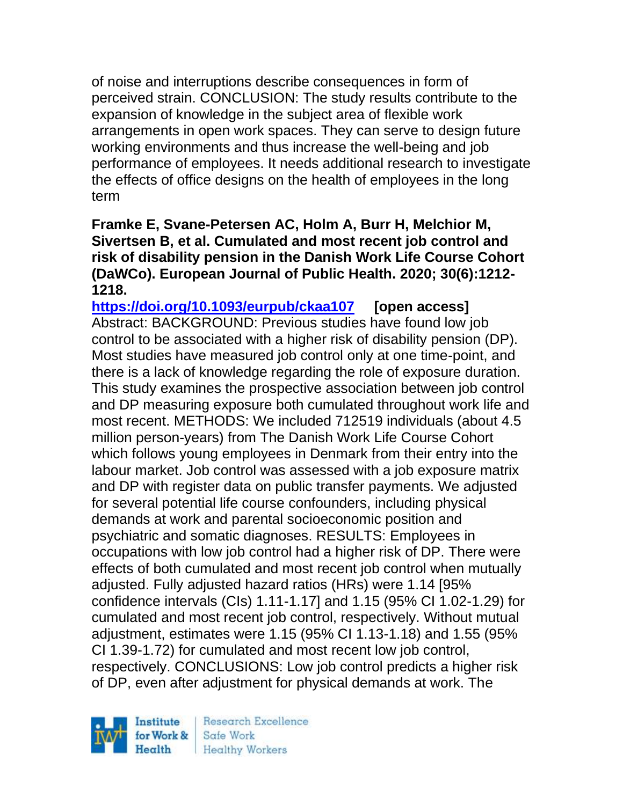of noise and interruptions describe consequences in form of perceived strain. CONCLUSION: The study results contribute to the expansion of knowledge in the subject area of flexible work arrangements in open work spaces. They can serve to design future working environments and thus increase the well-being and job performance of employees. It needs additional research to investigate the effects of office designs on the health of employees in the long term

**Framke E, Svane-Petersen AC, Holm A, Burr H, Melchior M, Sivertsen B, et al. Cumulated and most recent job control and risk of disability pension in the Danish Work Life Course Cohort (DaWCo). European Journal of Public Health. 2020; 30(6):1212- 1218.** 

**<https://doi.org/10.1093/eurpub/ckaa107> [open access]** Abstract: BACKGROUND: Previous studies have found low job control to be associated with a higher risk of disability pension (DP). Most studies have measured job control only at one time-point, and there is a lack of knowledge regarding the role of exposure duration. This study examines the prospective association between job control and DP measuring exposure both cumulated throughout work life and most recent. METHODS: We included 712519 individuals (about 4.5 million person-years) from The Danish Work Life Course Cohort which follows young employees in Denmark from their entry into the labour market. Job control was assessed with a job exposure matrix and DP with register data on public transfer payments. We adjusted for several potential life course confounders, including physical demands at work and parental socioeconomic position and psychiatric and somatic diagnoses. RESULTS: Employees in occupations with low job control had a higher risk of DP. There were effects of both cumulated and most recent job control when mutually adjusted. Fully adjusted hazard ratios (HRs) were 1.14 [95% confidence intervals (CIs) 1.11-1.17] and 1.15 (95% CI 1.02-1.29) for cumulated and most recent job control, respectively. Without mutual adjustment, estimates were 1.15 (95% CI 1.13-1.18) and 1.55 (95% CI 1.39-1.72) for cumulated and most recent low job control, respectively. CONCLUSIONS: Low job control predicts a higher risk of DP, even after adjustment for physical demands at work. The

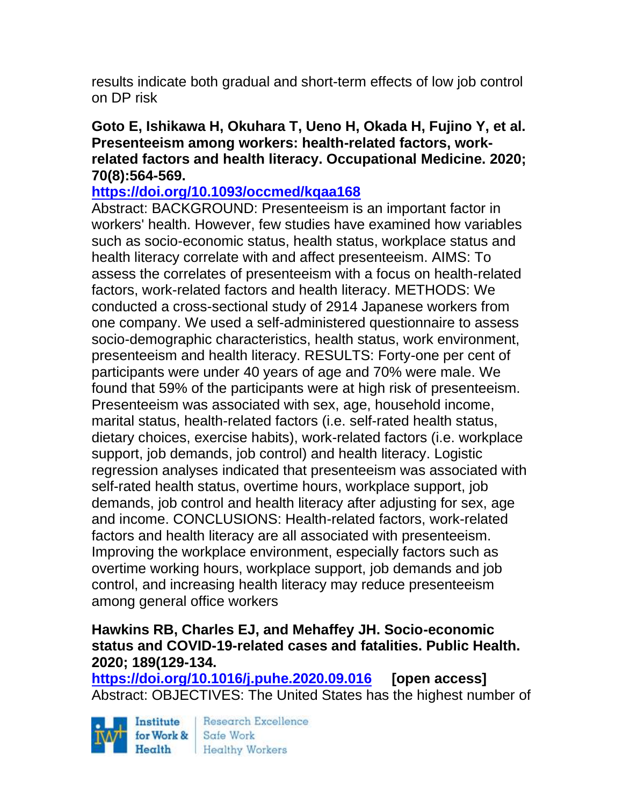results indicate both gradual and short-term effects of low job control on DP risk

# **Goto E, Ishikawa H, Okuhara T, Ueno H, Okada H, Fujino Y, et al. Presenteeism among workers: health-related factors, workrelated factors and health literacy. Occupational Medicine. 2020; 70(8):564-569.**

# **<https://doi.org/10.1093/occmed/kqaa168>**

Abstract: BACKGROUND: Presenteeism is an important factor in workers' health. However, few studies have examined how variables such as socio-economic status, health status, workplace status and health literacy correlate with and affect presenteeism. AIMS: To assess the correlates of presenteeism with a focus on health-related factors, work-related factors and health literacy. METHODS: We conducted a cross-sectional study of 2914 Japanese workers from one company. We used a self-administered questionnaire to assess socio-demographic characteristics, health status, work environment, presenteeism and health literacy. RESULTS: Forty-one per cent of participants were under 40 years of age and 70% were male. We found that 59% of the participants were at high risk of presenteeism. Presenteeism was associated with sex, age, household income, marital status, health-related factors (i.e. self-rated health status, dietary choices, exercise habits), work-related factors (i.e. workplace support, job demands, job control) and health literacy. Logistic regression analyses indicated that presenteeism was associated with self-rated health status, overtime hours, workplace support, job demands, job control and health literacy after adjusting for sex, age and income. CONCLUSIONS: Health-related factors, work-related factors and health literacy are all associated with presenteeism. Improving the workplace environment, especially factors such as overtime working hours, workplace support, job demands and job control, and increasing health literacy may reduce presenteeism among general office workers

# **Hawkins RB, Charles EJ, and Mehaffey JH. Socio-economic status and COVID-19-related cases and fatalities. Public Health. 2020; 189(129-134.**

**<https://doi.org/10.1016/j.puhe.2020.09.016> [open access]** Abstract: OBJECTIVES: The United States has the highest number of

Institute for Work & Safe Work Health

Research Excellence Healthy Workers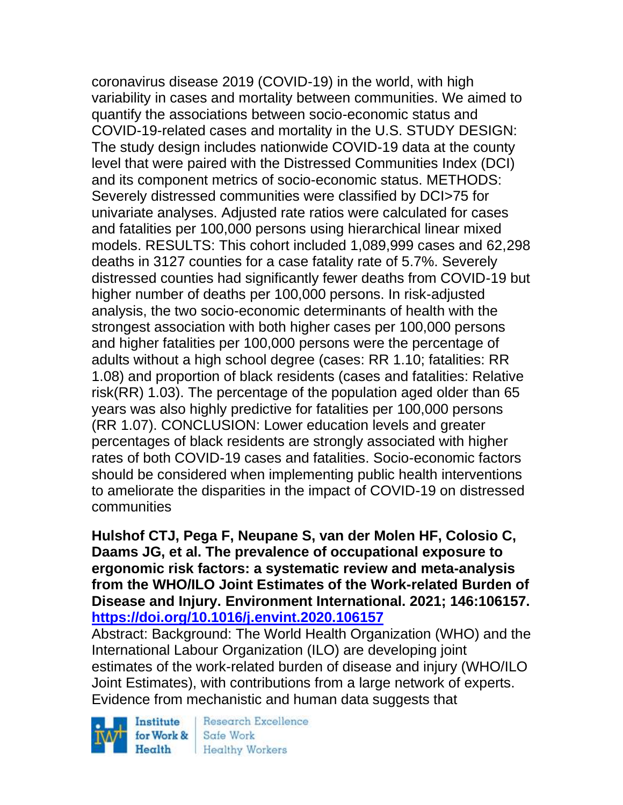coronavirus disease 2019 (COVID-19) in the world, with high variability in cases and mortality between communities. We aimed to quantify the associations between socio-economic status and COVID-19-related cases and mortality in the U.S. STUDY DESIGN: The study design includes nationwide COVID-19 data at the county level that were paired with the Distressed Communities Index (DCI) and its component metrics of socio-economic status. METHODS: Severely distressed communities were classified by DCI>75 for univariate analyses. Adjusted rate ratios were calculated for cases and fatalities per 100,000 persons using hierarchical linear mixed models. RESULTS: This cohort included 1,089,999 cases and 62,298 deaths in 3127 counties for a case fatality rate of 5.7%. Severely distressed counties had significantly fewer deaths from COVID-19 but higher number of deaths per 100,000 persons. In risk-adjusted analysis, the two socio-economic determinants of health with the strongest association with both higher cases per 100,000 persons and higher fatalities per 100,000 persons were the percentage of adults without a high school degree (cases: RR 1.10; fatalities: RR 1.08) and proportion of black residents (cases and fatalities: Relative risk(RR) 1.03). The percentage of the population aged older than 65 years was also highly predictive for fatalities per 100,000 persons (RR 1.07). CONCLUSION: Lower education levels and greater percentages of black residents are strongly associated with higher rates of both COVID-19 cases and fatalities. Socio-economic factors should be considered when implementing public health interventions to ameliorate the disparities in the impact of COVID-19 on distressed communities

**Hulshof CTJ, Pega F, Neupane S, van der Molen HF, Colosio C, Daams JG, et al. The prevalence of occupational exposure to ergonomic risk factors: a systematic review and meta-analysis from the WHO/ILO Joint Estimates of the Work-related Burden of Disease and Injury. Environment International. 2021; 146:106157. <https://doi.org/10.1016/j.envint.2020.106157>** 

Abstract: Background: The World Health Organization (WHO) and the International Labour Organization (ILO) are developing joint estimates of the work-related burden of disease and injury (WHO/ILO Joint Estimates), with contributions from a large network of experts. Evidence from mechanistic and human data suggests that

Institute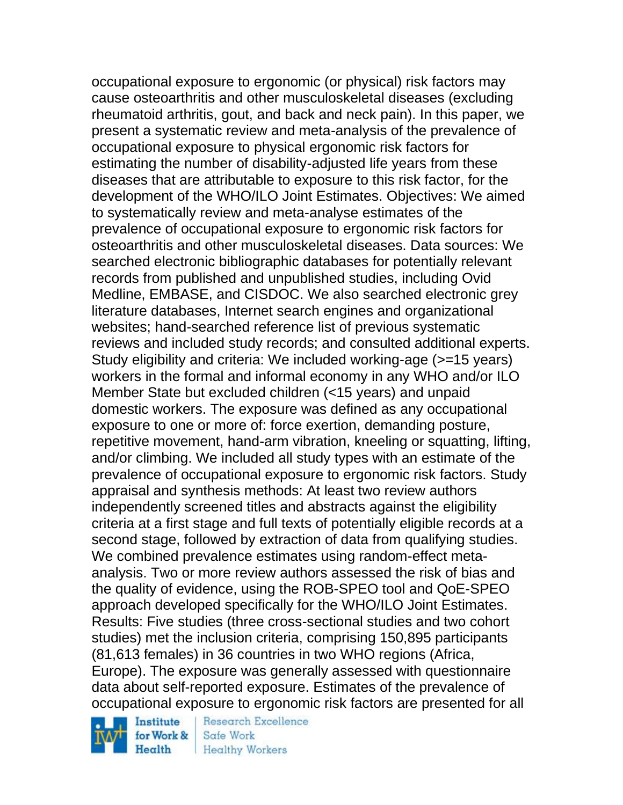occupational exposure to ergonomic (or physical) risk factors may cause osteoarthritis and other musculoskeletal diseases (excluding rheumatoid arthritis, gout, and back and neck pain). In this paper, we present a systematic review and meta-analysis of the prevalence of occupational exposure to physical ergonomic risk factors for estimating the number of disability-adjusted life years from these diseases that are attributable to exposure to this risk factor, for the development of the WHO/ILO Joint Estimates. Objectives: We aimed to systematically review and meta-analyse estimates of the prevalence of occupational exposure to ergonomic risk factors for osteoarthritis and other musculoskeletal diseases. Data sources: We searched electronic bibliographic databases for potentially relevant records from published and unpublished studies, including Ovid Medline, EMBASE, and CISDOC. We also searched electronic grey literature databases, Internet search engines and organizational websites; hand-searched reference list of previous systematic reviews and included study records; and consulted additional experts. Study eligibility and criteria: We included working-age (>=15 years) workers in the formal and informal economy in any WHO and/or ILO Member State but excluded children (<15 years) and unpaid domestic workers. The exposure was defined as any occupational exposure to one or more of: force exertion, demanding posture, repetitive movement, hand-arm vibration, kneeling or squatting, lifting, and/or climbing. We included all study types with an estimate of the prevalence of occupational exposure to ergonomic risk factors. Study appraisal and synthesis methods: At least two review authors independently screened titles and abstracts against the eligibility criteria at a first stage and full texts of potentially eligible records at a second stage, followed by extraction of data from qualifying studies. We combined prevalence estimates using random-effect metaanalysis. Two or more review authors assessed the risk of bias and the quality of evidence, using the ROB-SPEO tool and QoE-SPEO approach developed specifically for the WHO/ILO Joint Estimates. Results: Five studies (three cross-sectional studies and two cohort studies) met the inclusion criteria, comprising 150,895 participants (81,613 females) in 36 countries in two WHO regions (Africa, Europe). The exposure was generally assessed with questionnaire data about self-reported exposure. Estimates of the prevalence of occupational exposure to ergonomic risk factors are presented for all



Research Excellence Safe Work **Healthy Workers**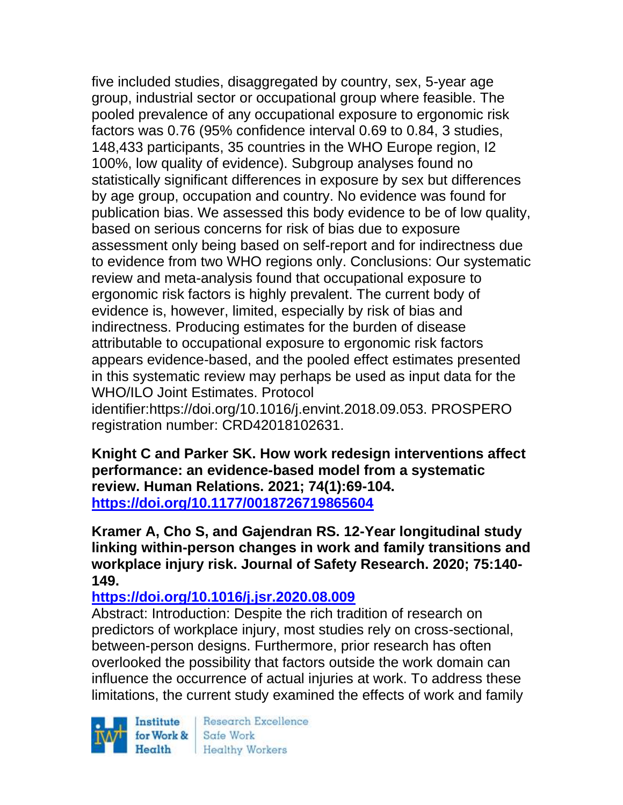five included studies, disaggregated by country, sex, 5-year age group, industrial sector or occupational group where feasible. The pooled prevalence of any occupational exposure to ergonomic risk factors was 0.76 (95% confidence interval 0.69 to 0.84, 3 studies, 148,433 participants, 35 countries in the WHO Europe region, I2 100%, low quality of evidence). Subgroup analyses found no statistically significant differences in exposure by sex but differences by age group, occupation and country. No evidence was found for publication bias. We assessed this body evidence to be of low quality, based on serious concerns for risk of bias due to exposure assessment only being based on self-report and for indirectness due to evidence from two WHO regions only. Conclusions: Our systematic review and meta-analysis found that occupational exposure to ergonomic risk factors is highly prevalent. The current body of evidence is, however, limited, especially by risk of bias and indirectness. Producing estimates for the burden of disease attributable to occupational exposure to ergonomic risk factors appears evidence-based, and the pooled effect estimates presented in this systematic review may perhaps be used as input data for the WHO/ILO Joint Estimates. Protocol

identifier:https://doi.org/10.1016/j.envint.2018.09.053. PROSPERO registration number: CRD42018102631.

**Knight C and Parker SK. How work redesign interventions affect performance: an evidence-based model from a systematic review. Human Relations. 2021; 74(1):69-104. <https://doi.org/10.1177/0018726719865604>** 

**Kramer A, Cho S, and Gajendran RS. 12-Year longitudinal study linking within-person changes in work and family transitions and workplace injury risk. Journal of Safety Research. 2020; 75:140- 149.** 

**<https://doi.org/10.1016/j.jsr.2020.08.009>** 

Abstract: Introduction: Despite the rich tradition of research on predictors of workplace injury, most studies rely on cross-sectional, between-person designs. Furthermore, prior research has often overlooked the possibility that factors outside the work domain can influence the occurrence of actual injuries at work. To address these limitations, the current study examined the effects of work and family

Institute Health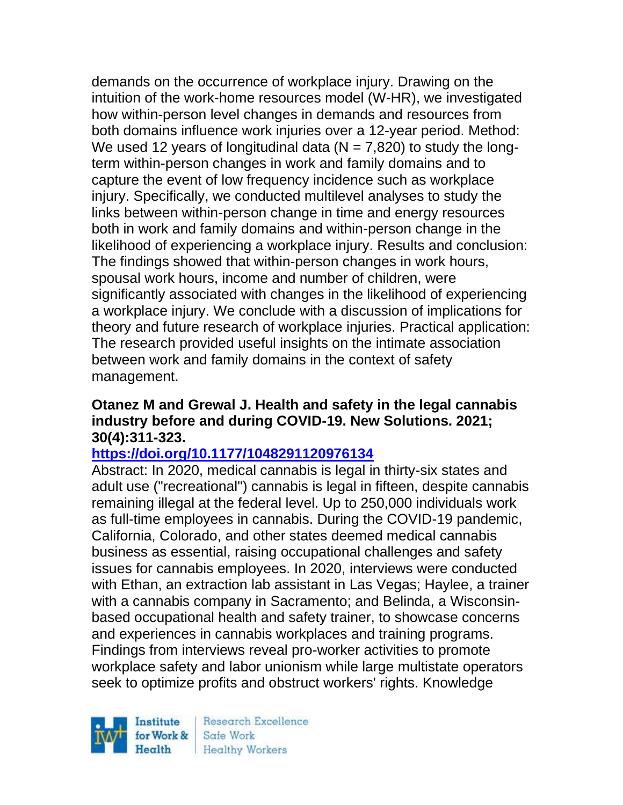demands on the occurrence of workplace injury. Drawing on the intuition of the work-home resources model (W-HR), we investigated how within-person level changes in demands and resources from both domains influence work injuries over a 12-year period. Method: We used 12 years of longitudinal data ( $N = 7.820$ ) to study the longterm within-person changes in work and family domains and to capture the event of low frequency incidence such as workplace injury. Specifically, we conducted multilevel analyses to study the links between within-person change in time and energy resources both in work and family domains and within-person change in the likelihood of experiencing a workplace injury. Results and conclusion: The findings showed that within-person changes in work hours, spousal work hours, income and number of children, were significantly associated with changes in the likelihood of experiencing a workplace injury. We conclude with a discussion of implications for theory and future research of workplace injuries. Practical application: The research provided useful insights on the intimate association between work and family domains in the context of safety management.

#### **Otanez M and Grewal J. Health and safety in the legal cannabis industry before and during COVID-19. New Solutions. 2021; 30(4):311-323.**

# **<https://doi.org/10.1177/1048291120976134>**

Abstract: In 2020, medical cannabis is legal in thirty-six states and adult use ("recreational") cannabis is legal in fifteen, despite cannabis remaining illegal at the federal level. Up to 250,000 individuals work as full-time employees in cannabis. During the COVID-19 pandemic, California, Colorado, and other states deemed medical cannabis business as essential, raising occupational challenges and safety issues for cannabis employees. In 2020, interviews were conducted with Ethan, an extraction lab assistant in Las Vegas; Haylee, a trainer with a cannabis company in Sacramento; and Belinda, a Wisconsinbased occupational health and safety trainer, to showcase concerns and experiences in cannabis workplaces and training programs. Findings from interviews reveal pro-worker activities to promote workplace safety and labor unionism while large multistate operators seek to optimize profits and obstruct workers' rights. Knowledge

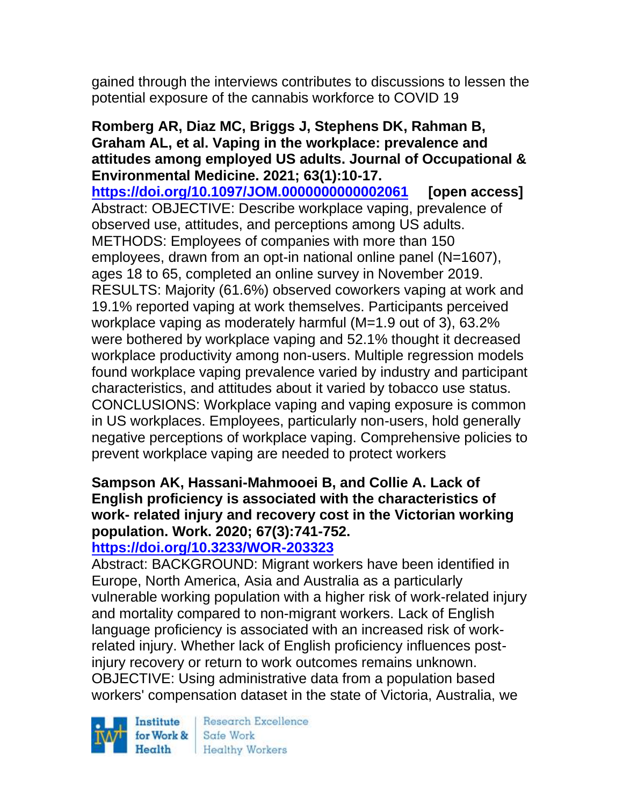gained through the interviews contributes to discussions to lessen the potential exposure of the cannabis workforce to COVID 19

**Romberg AR, Diaz MC, Briggs J, Stephens DK, Rahman B, Graham AL, et al. Vaping in the workplace: prevalence and attitudes among employed US adults. Journal of Occupational & Environmental Medicine. 2021; 63(1):10-17. <https://doi.org/10.1097/JOM.0000000000002061> [open access]** Abstract: OBJECTIVE: Describe workplace vaping, prevalence of observed use, attitudes, and perceptions among US adults. METHODS: Employees of companies with more than 150 employees, drawn from an opt-in national online panel (N=1607), ages 18 to 65, completed an online survey in November 2019. RESULTS: Majority (61.6%) observed coworkers vaping at work and 19.1% reported vaping at work themselves. Participants perceived workplace vaping as moderately harmful (M=1.9 out of 3), 63.2% were bothered by workplace vaping and 52.1% thought it decreased workplace productivity among non-users. Multiple regression models found workplace vaping prevalence varied by industry and participant characteristics, and attitudes about it varied by tobacco use status. CONCLUSIONS: Workplace vaping and vaping exposure is common in US workplaces. Employees, particularly non-users, hold generally negative perceptions of workplace vaping. Comprehensive policies to prevent workplace vaping are needed to protect workers

# **Sampson AK, Hassani-Mahmooei B, and Collie A. Lack of English proficiency is associated with the characteristics of work- related injury and recovery cost in the Victorian working population. Work. 2020; 67(3):741-752.**

# **<https://doi.org/10.3233/WOR-203323>**

Abstract: BACKGROUND: Migrant workers have been identified in Europe, North America, Asia and Australia as a particularly vulnerable working population with a higher risk of work-related injury and mortality compared to non-migrant workers. Lack of English language proficiency is associated with an increased risk of workrelated injury. Whether lack of English proficiency influences postinjury recovery or return to work outcomes remains unknown. OBJECTIVE: Using administrative data from a population based workers' compensation dataset in the state of Victoria, Australia, we

Institute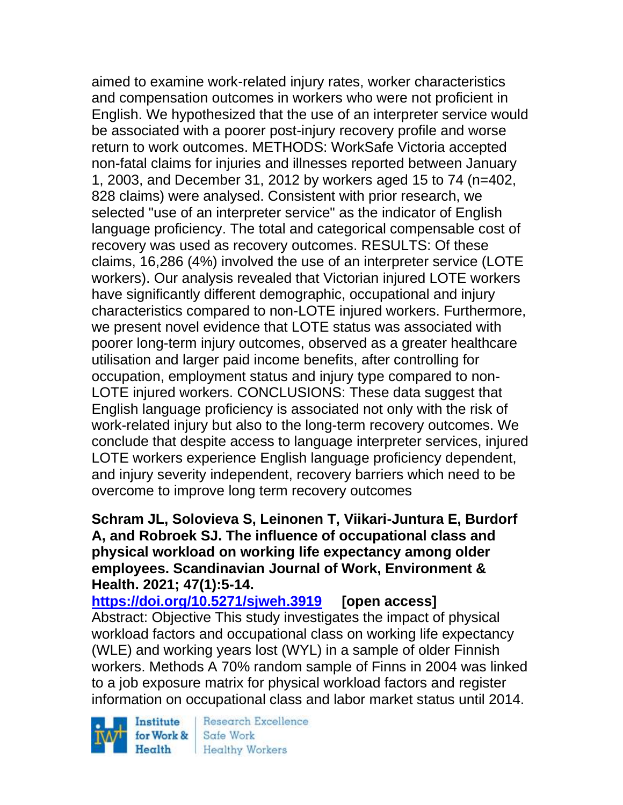aimed to examine work-related injury rates, worker characteristics and compensation outcomes in workers who were not proficient in English. We hypothesized that the use of an interpreter service would be associated with a poorer post-injury recovery profile and worse return to work outcomes. METHODS: WorkSafe Victoria accepted non-fatal claims for injuries and illnesses reported between January 1, 2003, and December 31, 2012 by workers aged 15 to 74 (n=402, 828 claims) were analysed. Consistent with prior research, we selected "use of an interpreter service" as the indicator of English language proficiency. The total and categorical compensable cost of recovery was used as recovery outcomes. RESULTS: Of these claims, 16,286 (4%) involved the use of an interpreter service (LOTE workers). Our analysis revealed that Victorian injured LOTE workers have significantly different demographic, occupational and injury characteristics compared to non-LOTE injured workers. Furthermore, we present novel evidence that LOTE status was associated with poorer long-term injury outcomes, observed as a greater healthcare utilisation and larger paid income benefits, after controlling for occupation, employment status and injury type compared to non-LOTE injured workers. CONCLUSIONS: These data suggest that English language proficiency is associated not only with the risk of work-related injury but also to the long-term recovery outcomes. We conclude that despite access to language interpreter services, injured LOTE workers experience English language proficiency dependent, and injury severity independent, recovery barriers which need to be overcome to improve long term recovery outcomes

# **Schram JL, Solovieva S, Leinonen T, Viikari-Juntura E, Burdorf A, and Robroek SJ. The influence of occupational class and physical workload on working life expectancy among older employees. Scandinavian Journal of Work, Environment & Health. 2021; 47(1):5-14.**

**<https://doi.org/10.5271/sjweh.3919> [open access]** Abstract: Objective This study investigates the impact of physical workload factors and occupational class on working life expectancy (WLE) and working years lost (WYL) in a sample of older Finnish workers. Methods A 70% random sample of Finns in 2004 was linked to a job exposure matrix for physical workload factors and register information on occupational class and labor market status until 2014.

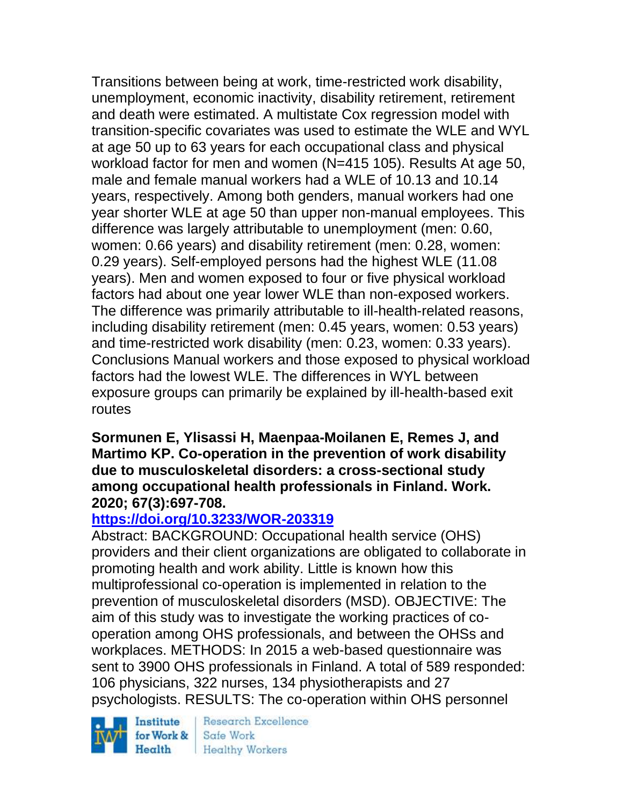Transitions between being at work, time-restricted work disability, unemployment, economic inactivity, disability retirement, retirement and death were estimated. A multistate Cox regression model with transition-specific covariates was used to estimate the WLE and WYL at age 50 up to 63 years for each occupational class and physical workload factor for men and women (N=415 105). Results At age 50, male and female manual workers had a WLE of 10.13 and 10.14 years, respectively. Among both genders, manual workers had one year shorter WLE at age 50 than upper non-manual employees. This difference was largely attributable to unemployment (men: 0.60, women: 0.66 years) and disability retirement (men: 0.28, women: 0.29 years). Self-employed persons had the highest WLE (11.08 years). Men and women exposed to four or five physical workload factors had about one year lower WLE than non-exposed workers. The difference was primarily attributable to ill-health-related reasons, including disability retirement (men: 0.45 years, women: 0.53 years) and time-restricted work disability (men: 0.23, women: 0.33 years). Conclusions Manual workers and those exposed to physical workload factors had the lowest WLE. The differences in WYL between exposure groups can primarily be explained by ill-health-based exit routes

#### **Sormunen E, Ylisassi H, Maenpaa-Moilanen E, Remes J, and Martimo KP. Co-operation in the prevention of work disability due to musculoskeletal disorders: a cross-sectional study among occupational health professionals in Finland. Work. 2020; 67(3):697-708.**

# **<https://doi.org/10.3233/WOR-203319>**

Abstract: BACKGROUND: Occupational health service (OHS) providers and their client organizations are obligated to collaborate in promoting health and work ability. Little is known how this multiprofessional co-operation is implemented in relation to the prevention of musculoskeletal disorders (MSD). OBJECTIVE: The aim of this study was to investigate the working practices of cooperation among OHS professionals, and between the OHSs and workplaces. METHODS: In 2015 a web-based questionnaire was sent to 3900 OHS professionals in Finland. A total of 589 responded: 106 physicians, 322 nurses, 134 physiotherapists and 27 psychologists. RESULTS: The co-operation within OHS personnel